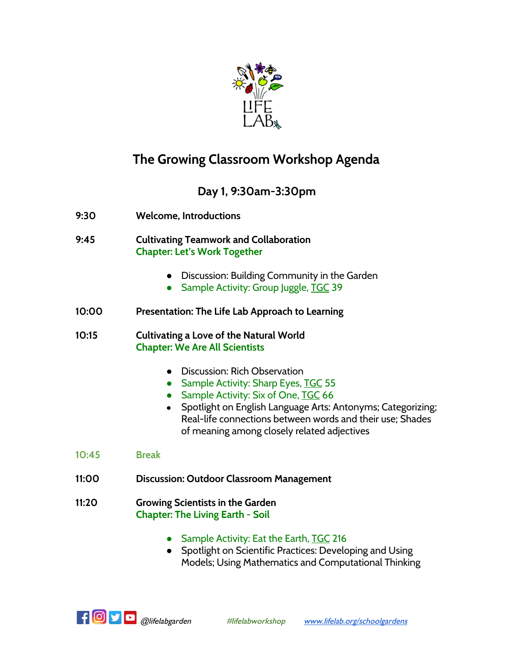

# **The Growing Classroom Workshop Agenda**

### **Day 1, 9:30am-3:30pm**

- **9:30 Welcome, Introductions**
- **9:45 Cultivating Teamwork and Collaboration Chapter: Let's Work Together**
	- Discussion: Building Community in the Garden
	- Sample Activity: Group Juggle, TGC 39
- **10:00 Presentation: The Life Lab Approach to Learning**

**10:15 Cultivating a Love of the Natural World Chapter: We Are All Scientists**

- Discussion: Rich Observation
- Sample Activity: Sharp Eyes, TGC 55
- Sample Activity: Six of One, TGC 66
- Spotlight on English Language Arts: Antonyms; Categorizing; Real-life connections between words and their use; Shades of meaning among closely related adjectives
- **10:45 Break**
- **11:00 Discussion: Outdoor Classroom Management**
- **11:20 Growing Scientists in the Garden Chapter: The Living Earth - Soil**
	- Sample Activity: Eat the Earth, TGC 216
	- Spotlight on Scientific Practices: Developing and Using Models; Using Mathematics and Computational Thinking

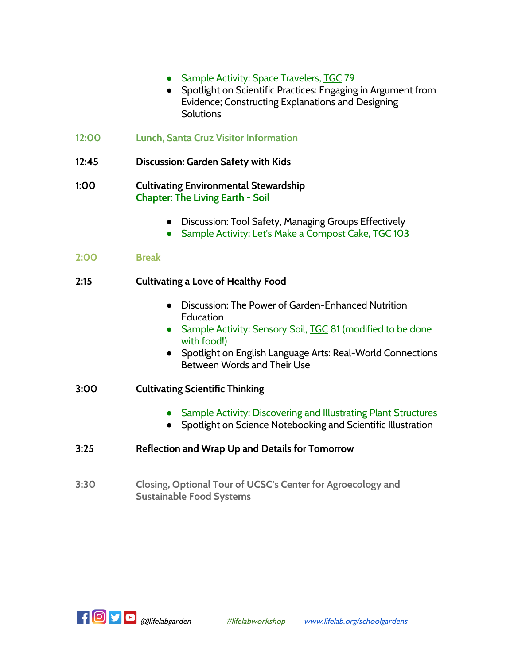- Sample Activity: Space Travelers, TGC 79
- Spotlight on Scientific Practices: Engaging in Argument from Evidence; Constructing Explanations and Designing **Solutions**
- **12:00 Lunch, Santa Cruz Visitor Information**
- **12:45 Discussion: Garden Safety with Kids**

#### **1:00 Cultivating Environmental Stewardship Chapter: The Living Earth - Soil**

- Discussion: Tool Safety, Managing Groups Effectively
- Sample Activity: Let's Make a Compost Cake, TGC 103

| 2:00 | <b>Break</b> |
|------|--------------|
|      |              |

### **2:15 Cultivating a Love of Healthy Food**

- Discussion: The Power of Garden-Enhanced Nutrition Education
- Sample Activity: Sensory Soil, TGC 81 (modified to be done with food!)
- Spotlight on English Language Arts: Real-World Connections Between Words and Their Use
- **3:00 Cultivating Scientific Thinking**
	- Sample Activity: Discovering and Illustrating Plant Structures
	- Spotlight on Science Notebooking and Scientific Illustration
- **3:25 Reflection and Wrap Up and Details for Tomorrow**
- **3:30 Closing, Optional Tour of UCSC's Center for Agroecology and Sustainable Food Systems**